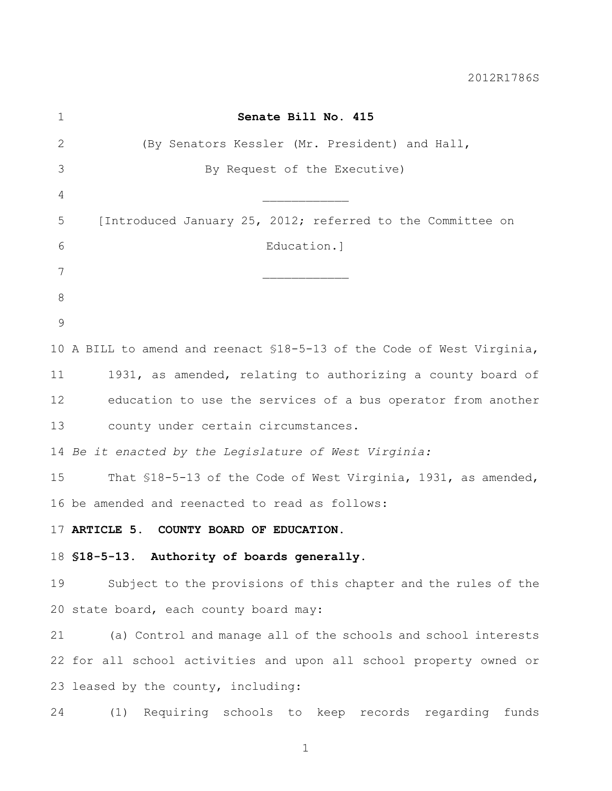| $\mathbf 1$ | Senate Bill No. 415                                                    |
|-------------|------------------------------------------------------------------------|
| 2           | (By Senators Kessler (Mr. President) and Hall,                         |
| 3           | By Request of the Executive)                                           |
| 4           |                                                                        |
| 5           | [Introduced January 25, 2012; referred to the Committee on             |
| 6           | Education.]                                                            |
| 7           |                                                                        |
| 8           |                                                                        |
| 9           |                                                                        |
|             | 10 A BILL to amend and reenact \$18-5-13 of the Code of West Virginia, |
| 11          | 1931, as amended, relating to authorizing a county board of            |
| 12          | education to use the services of a bus operator from another           |
| 13          | county under certain circumstances.                                    |
|             | 14 Be it enacted by the Legislature of West Virginia:                  |
| 15          | That \$18-5-13 of the Code of West Virginia, 1931, as amended,         |
|             | 16 be amended and reenacted to read as follows:                        |
|             | 17 ARTICLE 5. COUNTY BOARD OF EDUCATION.                               |
|             | 18 \$18-5-13. Authority of boards generally.                           |
| 19          | Subject to the provisions of this chapter and the rules of the         |
|             | 20 state board, each county board may:                                 |
| 21          | (a) Control and manage all of the schools and school interests         |
|             | 22 for all school activities and upon all school property owned or     |
|             | 23 leased by the county, including:                                    |
| 24          | (1) Requiring schools to keep records regarding funds                  |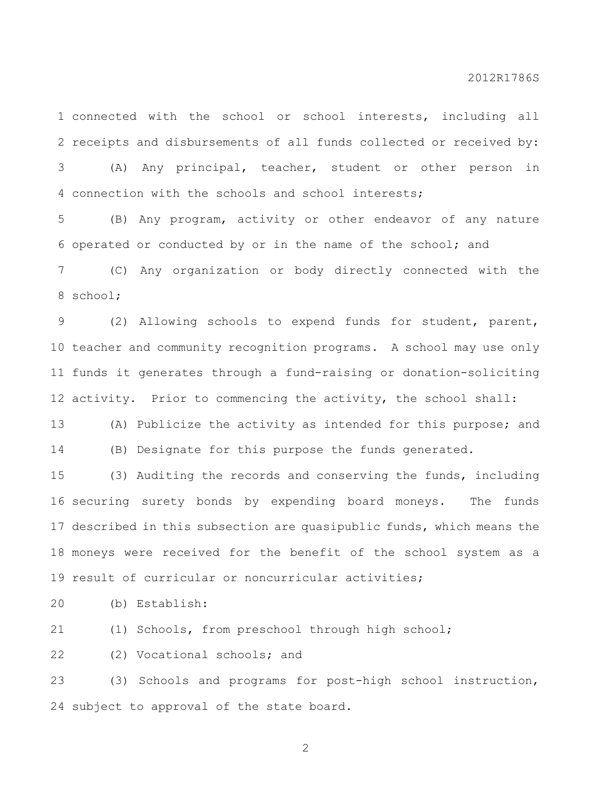connected with the school or school interests, including all receipts and disbursements of all funds collected or received by:

 (A) Any principal, teacher, student or other person in connection with the schools and school interests;

 (B) Any program, activity or other endeavor of any nature operated or conducted by or in the name of the school; and

 (C) Any organization or body directly connected with the school;

 (2) Allowing schools to expend funds for student, parent, teacher and community recognition programs. A school may use only funds it generates through a fund-raising or donation-soliciting activity. Prior to commencing the activity, the school shall:

 (A) Publicize the activity as intended for this purpose; and (B) Designate for this purpose the funds generated.

 (3) Auditing the records and conserving the funds, including securing surety bonds by expending board moneys. The funds described in this subsection are quasipublic funds, which means the moneys were received for the benefit of the school system as a result of curricular or noncurricular activities;

(b) Establish:

(1) Schools, from preschool through high school;

(2) Vocational schools; and

 (3) Schools and programs for post-high school instruction, subject to approval of the state board.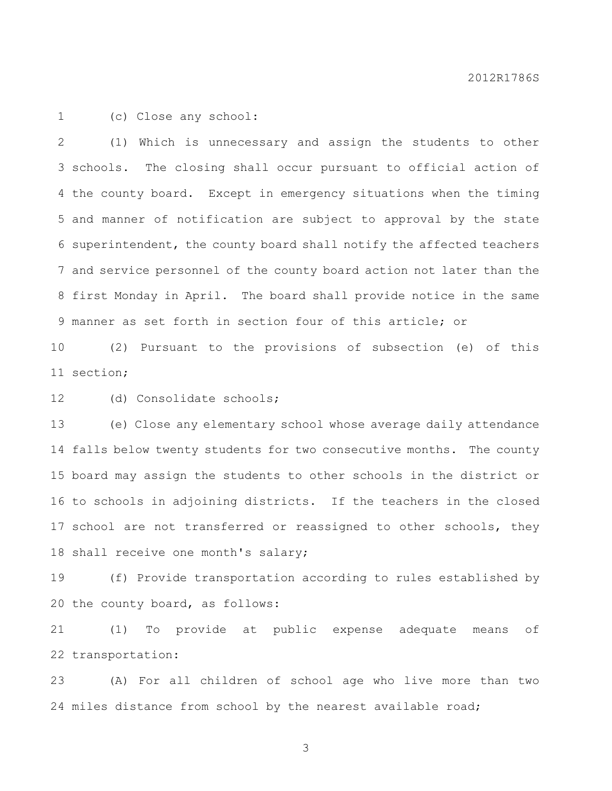(c) Close any school:

 (1) Which is unnecessary and assign the students to other schools. The closing shall occur pursuant to official action of the county board. Except in emergency situations when the timing and manner of notification are subject to approval by the state superintendent, the county board shall notify the affected teachers and service personnel of the county board action not later than the first Monday in April. The board shall provide notice in the same manner as set forth in section four of this article; or

 (2) Pursuant to the provisions of subsection (e) of this section;

(d) Consolidate schools;

 (e) Close any elementary school whose average daily attendance falls below twenty students for two consecutive months. The county board may assign the students to other schools in the district or to schools in adjoining districts. If the teachers in the closed 17 school are not transferred or reassigned to other schools, they shall receive one month's salary;

 (f) Provide transportation according to rules established by the county board, as follows:

 (1) To provide at public expense adequate means of transportation:

 (A) For all children of school age who live more than two miles distance from school by the nearest available road;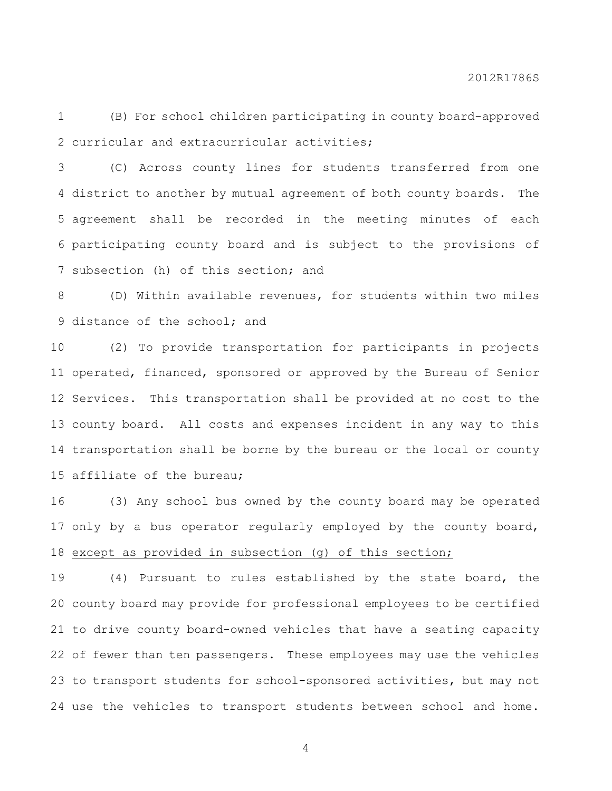(B) For school children participating in county board-approved curricular and extracurricular activities;

 (C) Across county lines for students transferred from one district to another by mutual agreement of both county boards. The agreement shall be recorded in the meeting minutes of each participating county board and is subject to the provisions of subsection (h) of this section; and

 (D) Within available revenues, for students within two miles 9 distance of the school; and

 (2) To provide transportation for participants in projects operated, financed, sponsored or approved by the Bureau of Senior Services. This transportation shall be provided at no cost to the county board. All costs and expenses incident in any way to this transportation shall be borne by the bureau or the local or county affiliate of the bureau;

 (3) Any school bus owned by the county board may be operated only by a bus operator regularly employed by the county board, except as provided in subsection (g) of this section;

 (4) Pursuant to rules established by the state board, the county board may provide for professional employees to be certified to drive county board-owned vehicles that have a seating capacity of fewer than ten passengers. These employees may use the vehicles to transport students for school-sponsored activities, but may not use the vehicles to transport students between school and home.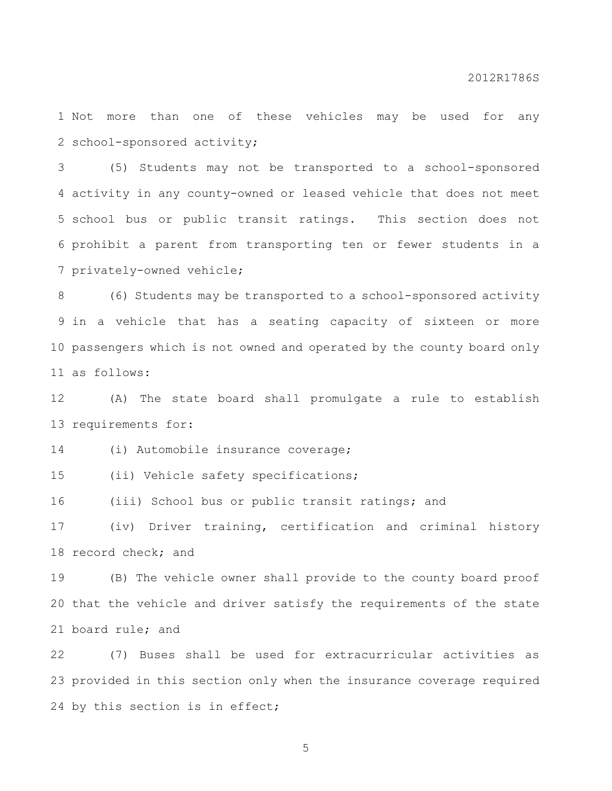Not more than one of these vehicles may be used for any school-sponsored activity;

 (5) Students may not be transported to a school-sponsored activity in any county-owned or leased vehicle that does not meet school bus or public transit ratings. This section does not prohibit a parent from transporting ten or fewer students in a privately-owned vehicle;

 (6) Students may be transported to a school-sponsored activity in a vehicle that has a seating capacity of sixteen or more passengers which is not owned and operated by the county board only as follows:

 (A) The state board shall promulgate a rule to establish requirements for:

(i) Automobile insurance coverage;

(ii) Vehicle safety specifications;

(iii) School bus or public transit ratings; and

 (iv) Driver training, certification and criminal history record check; and

 (B) The vehicle owner shall provide to the county board proof that the vehicle and driver satisfy the requirements of the state board rule; and

 (7) Buses shall be used for extracurricular activities as provided in this section only when the insurance coverage required 24 by this section is in effect;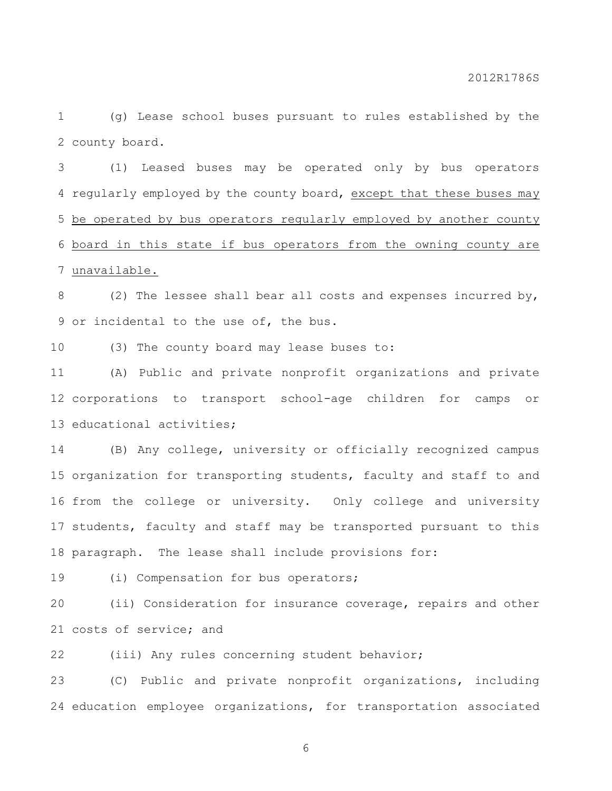(g) Lease school buses pursuant to rules established by the county board.

 (1) Leased buses may be operated only by bus operators regularly employed by the county board, except that these buses may be operated by bus operators regularly employed by another county board in this state if bus operators from the owning county are unavailable.

8 (2) The lessee shall bear all costs and expenses incurred by, or incidental to the use of, the bus.

(3) The county board may lease buses to:

 (A) Public and private nonprofit organizations and private corporations to transport school-age children for camps or educational activities;

 (B) Any college, university or officially recognized campus organization for transporting students, faculty and staff to and from the college or university. Only college and university students, faculty and staff may be transported pursuant to this paragraph. The lease shall include provisions for:

19 (i) Compensation for bus operators;

 (ii) Consideration for insurance coverage, repairs and other costs of service; and

(iii) Any rules concerning student behavior;

 (C) Public and private nonprofit organizations, including education employee organizations, for transportation associated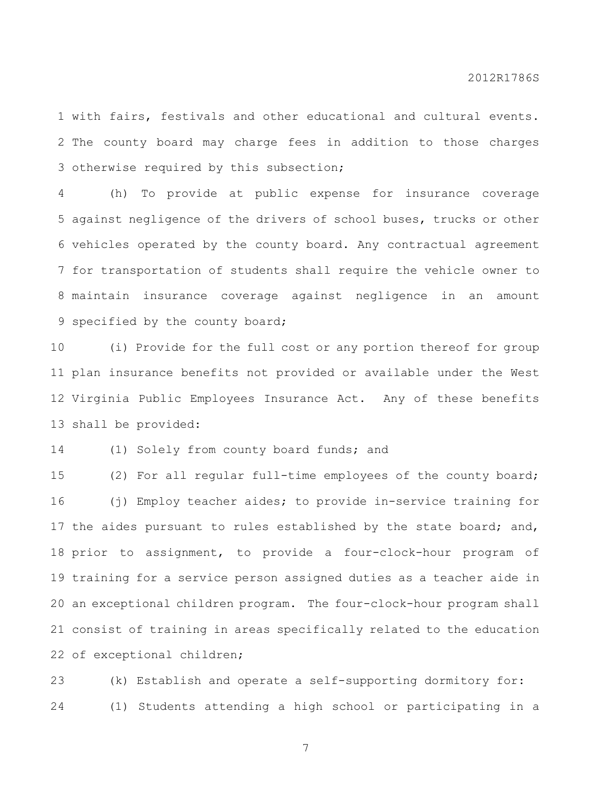with fairs, festivals and other educational and cultural events. The county board may charge fees in addition to those charges otherwise required by this subsection;

 (h) To provide at public expense for insurance coverage against negligence of the drivers of school buses, trucks or other vehicles operated by the county board. Any contractual agreement for transportation of students shall require the vehicle owner to maintain insurance coverage against negligence in an amount 9 specified by the county board;

 (i) Provide for the full cost or any portion thereof for group plan insurance benefits not provided or available under the West Virginia Public Employees Insurance Act. Any of these benefits shall be provided:

(1) Solely from county board funds; and

 (2) For all regular full-time employees of the county board; (j) Employ teacher aides; to provide in-service training for 17 the aides pursuant to rules established by the state board; and, prior to assignment, to provide a four-clock-hour program of training for a service person assigned duties as a teacher aide in an exceptional children program. The four-clock-hour program shall consist of training in areas specifically related to the education of exceptional children;

 (k) Establish and operate a self-supporting dormitory for: (1) Students attending a high school or participating in a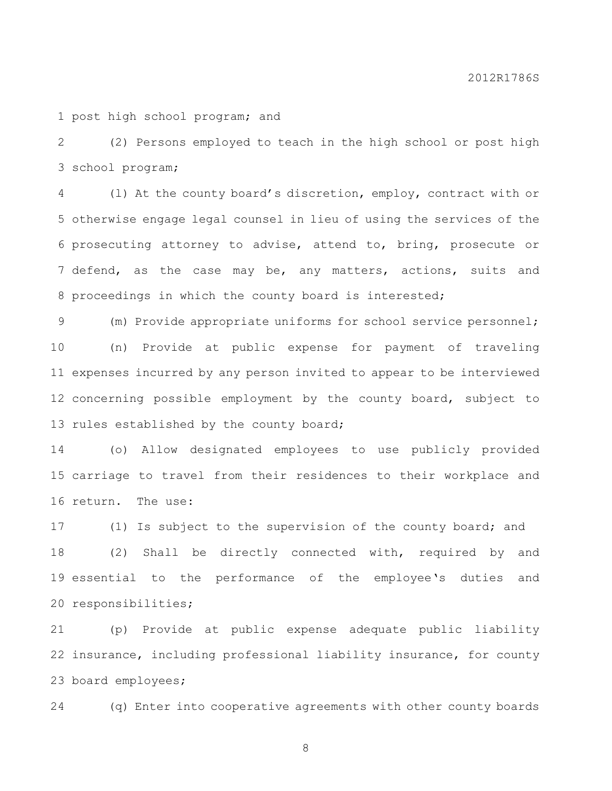post high school program; and

 (2) Persons employed to teach in the high school or post high school program;

 (l) At the county board's discretion, employ, contract with or otherwise engage legal counsel in lieu of using the services of the prosecuting attorney to advise, attend to, bring, prosecute or defend, as the case may be, any matters, actions, suits and proceedings in which the county board is interested;

 (m) Provide appropriate uniforms for school service personnel; (n) Provide at public expense for payment of traveling expenses incurred by any person invited to appear to be interviewed concerning possible employment by the county board, subject to 13 rules established by the county board;

 (o) Allow designated employees to use publicly provided carriage to travel from their residences to their workplace and return. The use:

 (1) Is subject to the supervision of the county board; and (2) Shall be directly connected with, required by and essential to the performance of the employee's duties and responsibilities;

 (p) Provide at public expense adequate public liability insurance, including professional liability insurance, for county board employees;

(q) Enter into cooperative agreements with other county boards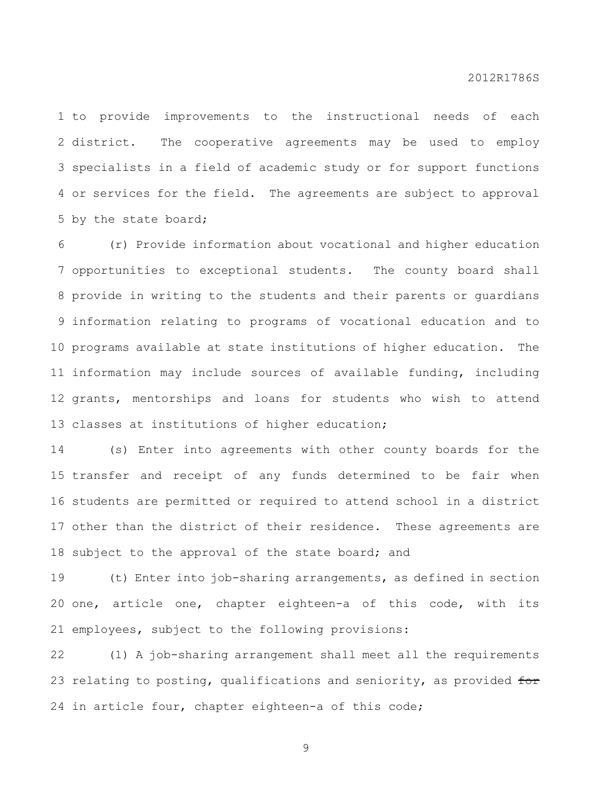to provide improvements to the instructional needs of each district. The cooperative agreements may be used to employ specialists in a field of academic study or for support functions or services for the field. The agreements are subject to approval by the state board;

 (r) Provide information about vocational and higher education opportunities to exceptional students. The county board shall provide in writing to the students and their parents or guardians information relating to programs of vocational education and to programs available at state institutions of higher education. The information may include sources of available funding, including grants, mentorships and loans for students who wish to attend classes at institutions of higher education;

 (s) Enter into agreements with other county boards for the transfer and receipt of any funds determined to be fair when students are permitted or required to attend school in a district other than the district of their residence. These agreements are 18 subject to the approval of the state board; and

 (t) Enter into job-sharing arrangements, as defined in section one, article one, chapter eighteen-a of this code, with its employees, subject to the following provisions:

 (1) A job-sharing arrangement shall meet all the requirements 23 relating to posting, qualifications and seniority, as provided for in article four, chapter eighteen-a of this code;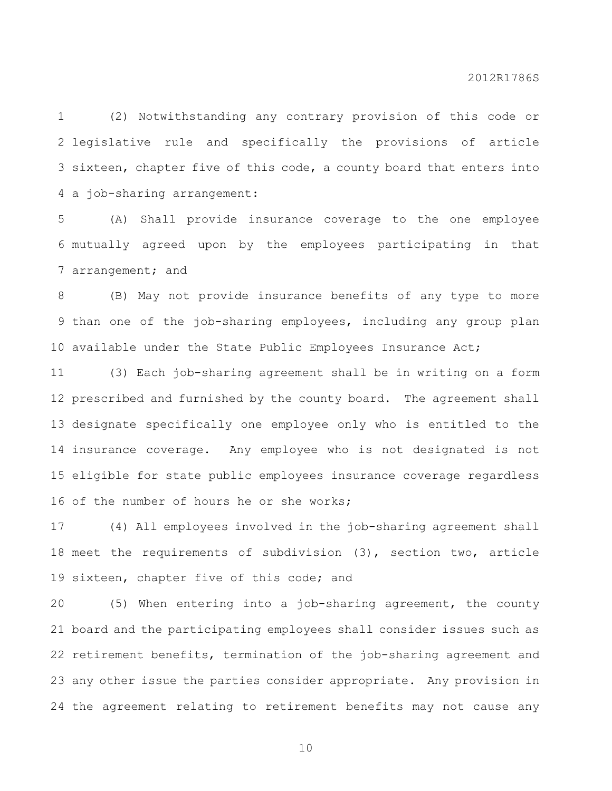(2) Notwithstanding any contrary provision of this code or legislative rule and specifically the provisions of article sixteen, chapter five of this code, a county board that enters into a job-sharing arrangement:

 (A) Shall provide insurance coverage to the one employee mutually agreed upon by the employees participating in that arrangement; and

 (B) May not provide insurance benefits of any type to more than one of the job-sharing employees, including any group plan available under the State Public Employees Insurance Act;

 (3) Each job-sharing agreement shall be in writing on a form prescribed and furnished by the county board. The agreement shall designate specifically one employee only who is entitled to the insurance coverage. Any employee who is not designated is not eligible for state public employees insurance coverage regardless 16 of the number of hours he or she works:

 (4) All employees involved in the job-sharing agreement shall meet the requirements of subdivision (3), section two, article 19 sixteen, chapter five of this code; and

 (5) When entering into a job-sharing agreement, the county board and the participating employees shall consider issues such as retirement benefits, termination of the job-sharing agreement and any other issue the parties consider appropriate. Any provision in the agreement relating to retirement benefits may not cause any